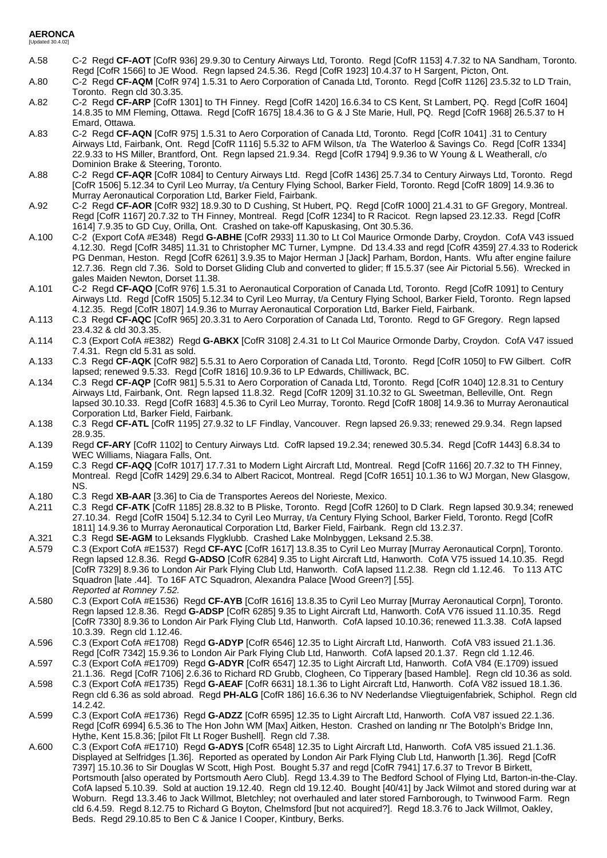## **AERONCA** [Updated 30.4.02]

- A.58 C-2 Regd **CF-AOT** [CofR 936] 29.9.30 to Century Airways Ltd, Toronto. Regd [CofR 1153] 4.7.32 to NA Sandham, Toronto. Regd [CofR 1566] to JE Wood. Regn lapsed 24.5.36. Regd [CofR 1923] 10.4.37 to H Sargent, Picton, Ont.
- A.80 C-2 Regd **CF-AQM** [CofR 974] 1.5.31 to Aero Corporation of Canada Ltd, Toronto. Regd [CofR 1126] 23.5.32 to LD Train, Toronto. Regn cld 30.3.35.
- A.82 C-2 Regd **CF-ARP** [CofR 1301] to TH Finney. Regd [CofR 1420] 16.6.34 to CS Kent, St Lambert, PQ. Regd [CofR 1604] 14.8.35 to MM Fleming, Ottawa. Regd [CofR 1675] 18.4.36 to G & J Ste Marie, Hull, PQ. Regd [CofR 1968] 26.5.37 to H Emard, Ottawa.
- A.83 C-2 Regd **CF-AQN** [CofR 975] 1.5.31 to Aero Corporation of Canada Ltd, Toronto. Regd [CofR 1041] .31 to Century Airways Ltd, Fairbank, Ont. Regd [CofR 1116] 5.5.32 to AFM Wilson, t/a The Waterloo & Savings Co. Regd [CofR 1334] 22.9.33 to HS Miller, Brantford, Ont. Regn lapsed 21.9.34. Regd [CofR 1794] 9.9.36 to W Young & L Weatherall, c/o Dominion Brake & Steering, Toronto.
- A.88 C-2 Regd **CF-AQR** [CofR 1084] to Century Airways Ltd. Regd [CofR 1436] 25.7.34 to Century Airways Ltd, Toronto. Regd [CofR 1506] 5.12.34 to Cyril Leo Murray, t/a Century Flying School, Barker Field, Toronto. Regd [CofR 1809] 14.9.36 to Murray Aeronautical Corporation Ltd, Barker Field, Fairbank.
- A.92 C-2 Regd **CF-AOR** [CofR 932] 18.9.30 to D Cushing, St Hubert, PQ. Regd [CofR 1000] 21.4.31 to GF Gregory, Montreal. Regd [CofR 1167] 20.7.32 to TH Finney, Montreal. Regd [CofR 1234] to R Racicot. Regn lapsed 23.12.33. Regd [CofR 1614] 7.9.35 to GD Cuy, Orilla, Ont. Crashed on take-off Kapuskasing, Ont 30.5.36.
- A.100 C-2 (Export CofA #E348) Regd **G-ABHE** [CofR 2933] 11.30 to Lt Col Maurice Ormonde Darby, Croydon. CofA V43 issued 4.12.30. Regd [CofR 3485] 11.31 to Christopher MC Turner, Lympne. Dd 13.4.33 and regd [CofR 4359] 27.4.33 to Roderick PG Denman, Heston. Regd [CofR 6261] 3.9.35 to Major Herman J [Jack] Parham, Bordon, Hants. Wfu after engine failure 12.7.36. Regn cld 7.36. Sold to Dorset Gliding Club and converted to glider; ff 15.5.37 (see Air Pictorial 5.56). Wrecked in gales Maiden Newton, Dorset 11.38.
- A.101 C-2 Regd **CF-AQO** [CofR 976] 1.5.31 to Aeronautical Corporation of Canada Ltd, Toronto. Regd [CofR 1091] to Century Airways Ltd. Regd [CofR 1505] 5.12.34 to Cyril Leo Murray, t/a Century Flying School, Barker Field, Toronto. Regn lapsed 4.12.35. Regd [CofR 1807] 14.9.36 to Murray Aeronautical Corporation Ltd, Barker Field, Fairbank.
- A.113 C.3 Regd **CF-AQC** [CofR 965] 20.3.31 to Aero Corporation of Canada Ltd, Toronto. Regd to GF Gregory. Regn lapsed 23.4.32 & cld 30.3.35.
- A.114 C.3 (Export CofA #E382) Regd **G-ABKX** [CofR 3108] 2.4.31 to Lt Col Maurice Ormonde Darby, Croydon. CofA V47 issued 7.4.31. Regn cld 5.31 as sold.
- A.133 C.3 Regd **CF-AQK** [CofR 982] 5.5.31 to Aero Corporation of Canada Ltd, Toronto. Regd [CofR 1050] to FW Gilbert. CofR lapsed; renewed 9.5.33. Regd [CofR 1816] 10.9.36 to LP Edwards, Chilliwack, BC.
- A.134 C.3 Regd **CF-AQP** [CofR 981] 5.5.31 to Aero Corporation of Canada Ltd, Toronto. Regd [CofR 1040] 12.8.31 to Century Airways Ltd, Fairbank, Ont. Regn lapsed 11.8.32. Regd [CofR 1209] 31.10.32 to GL Sweetman, Belleville, Ont. Regn lapsed 30.10.33. Regd [CofR 1683] 4.5.36 to Cyril Leo Murray, Toronto. Regd [CofR 1808] 14.9.36 to Murray Aeronautical Corporation Ltd, Barker Field, Fairbank.
- A.138 C.3 Regd CF-ATL [CofR 1195] 27.9.32 to LF Findlay, Vancouver. Regn lapsed 26.9.33; renewed 29.9.34. Regn lapsed 28.9.35.
- A.139 Regd **CF-ARY** [CofR 1102] to Century Airways Ltd. CofR lapsed 19.2.34; renewed 30.5.34. Regd [CofR 1443] 6.8.34 to WEC Williams, Niagara Falls, Ont.
- A.159 C.3 Regd **CF-AQQ** [CofR 1017] 17.7.31 to Modern Light Aircraft Ltd, Montreal. Regd [CofR 1166] 20.7.32 to TH Finney, Montreal. Regd [CofR 1429] 29.6.34 to Albert Racicot, Montreal. Regd [CofR 1651] 10.1.36 to WJ Morgan, New Glasgow, NS.
- A.180 C.3 Regd **XB-AAR** [3.36] to Cia de Transportes Aereos del Norieste, Mexico.
- A.211 C.3 Regd **CF-ATK** [CofR 1185] 28.8.32 to B Pliske, Toronto. Regd [CofR 1260] to D Clark. Regn lapsed 30.9.34; renewed 27.10.34. Regd [CofR 1504] 5.12.34 to Cyril Leo Murray, t/a Century Flying School, Barker Field, Toronto. Regd [CofR 1811] 14.9.36 to Murray Aeronautical Corporation Ltd, Barker Field, Fairbank. Regn cld 13.2.37.
- A.321 C.3 Regd **SE-AGM** to Leksands Flygklubb. Crashed Lake Molnbyggen, Leksand 2.5.38.
- A.579 C.3 (Export CofA #E1537) Regd **CF-AYC** [CofR 1617] 13.8.35 to Cyril Leo Murray [Murray Aeronautical Corpn], Toronto. Regn lapsed 12.8.36. Regd **G-ADSO** [CofR 6284] 9.35 to Light Aircraft Ltd, Hanworth. CofA V75 issued 14.10.35. Regd [CofR 7329] 8.9.36 to London Air Park Flying Club Ltd, Hanworth. CofA lapsed 11.2.38. Regn cld 1.12.46. To 113 ATC Squadron [late .44]. To 16F ATC Squadron, Alexandra Palace [Wood Green?] [.55]. *Reported at Romney 7.52.*
- A.580 C.3 (Export CofA #E1536) Regd **CF-AYB** [CofR 1616] 13.8.35 to Cyril Leo Murray [Murray Aeronautical Corpn], Toronto. Regn lapsed 12.8.36. Regd **G-ADSP** [CofR 6285] 9.35 to Light Aircraft Ltd, Hanworth. CofA V76 issued 11.10.35. Regd [CofR 7330] 8.9.36 to London Air Park Flying Club Ltd, Hanworth. CofA lapsed 10.10.36; renewed 11.3.38. CofA lapsed 10.3.39. Regn cld 1.12.46.
- A.596 C.3 (Export CofA #E1708) Regd **G-ADYP** [CofR 6546] 12.35 to Light Aircraft Ltd, Hanworth. CofA V83 issued 21.1.36. Regd [CofR 7342] 15.9.36 to London Air Park Flying Club Ltd, Hanworth. CofA lapsed 20.1.37. Regn cld 1.12.46.
- A.597 C.3 (Export CofA #E1709) Regd **G-ADYR** [CofR 6547] 12.35 to Light Aircraft Ltd, Hanworth. CofA V84 (E.1709) issued 21.1.36. Regd [CofR 7106] 2.6.36 to Richard RD Grubb, Clogheen, Co Tipperary [based Hamble]. Regn cld 10.36 as sold.
- A.598 C.3 (Export CofA #E1735) Regd **G-AEAF** [CofR 6631] 18.1.36 to Light Aircraft Ltd, Hanworth. CofA V82 issued 18.1.36. Regn cld 6.36 as sold abroad. Regd **PH-ALG** [CofR 186] 16.6.36 to NV Nederlandse Vliegtuigenfabriek, Schiphol. Regn cld 14.2.42.
- A.599 C.3 (Export CofA #E1736) Regd **G-ADZZ** [CofR 6595] 12.35 to Light Aircraft Ltd, Hanworth. CofA V87 issued 22.1.36. Regd [CofR 6994] 6.5.36 to The Hon John WM [Max] Aitken, Heston. Crashed on landing nr The Botolph's Bridge Inn, Hythe, Kent 15.8.36; [pilot Flt Lt Roger Bushell]. Regn cld 7.38.
- A.600 C.3 (Export CofA #E1710) Regd **G-ADYS** [CofR 6548] 12.35 to Light Aircraft Ltd, Hanworth. CofA V85 issued 21.1.36. Displayed at Selfridges [1.36]. Reported as operated by London Air Park Flying Club Ltd, Hanworth [1.36]. Regd [CofR 7397] 15.10.36 to Sir Douglas W Scott, High Post. Bought 5.37 and regd [CofR 7941] 17.6.37 to Trevor B Birkett, Portsmouth [also operated by Portsmouth Aero Club]. Regd 13.4.39 to The Bedford School of Flying Ltd, Barton-in-the-Clay. CofA lapsed 5.10.39. Sold at auction 19.12.40. Regn cld 19.12.40. Bought [40/41] by Jack Wilmot and stored during war at Woburn. Regd 13.3.46 to Jack Willmot, Bletchley; not overhauled and later stored Farnborough, to Twinwood Farm. Regn cld 6.4.59. Regd 8.12.75 to Richard G Boyton, Chelmsford [but not acquired?]. Regd 18.3.76 to Jack Willmot, Oakley, Beds. Regd 29.10.85 to Ben C & Janice I Cooper, Kintbury, Berks.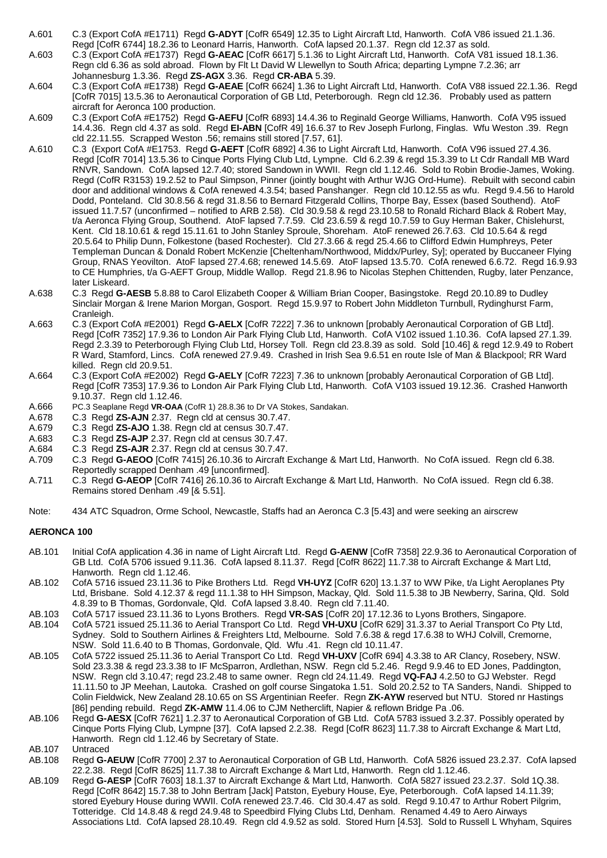- A.601 C.3 (Export CofA #E1711) Regd **G-ADYT** [CofR 6549] 12.35 to Light Aircraft Ltd, Hanworth. CofA V86 issued 21.1.36. Regd [CofR 6744] 18.2.36 to Leonard Harris, Hanworth. CofA lapsed 20.1.37. Regn cld 12.37 as sold.
- A.603 C.3 (Export CofA #E1737) Regd **G-AEAC** [CofR 6617] 5.1.36 to Light Aircraft Ltd, Hanworth. CofA V81 issued 18.1.36. Regn cld 6.36 as sold abroad. Flown by Flt Lt David W Llewellyn to South Africa; departing Lympne 7.2.36; arr Johannesburg 1.3.36. Regd **ZS-AGX** 3.36. Regd **CR-ABA** 5.39.
- A.604 C.3 (Export CofA #E1738) Regd **G-AEAE** [CofR 6624] 1.36 to Light Aircraft Ltd, Hanworth. CofA V88 issued 22.1.36. Regd [CofR 7015] 13.5.36 to Aeronautical Corporation of GB Ltd, Peterborough. Regn cld 12.36. Probably used as pattern aircraft for Aeronca 100 production.
- A.609 C.3 (Export CofA #E1752) Regd **G-AEFU** [CofR 6893] 14.4.36 to Reginald George Williams, Hanworth. CofA V95 issued 14.4.36. Regn cld 4.37 as sold. Regd **EI-ABN** [CofR 49] 16.6.37 to Rev Joseph Furlong, Finglas. Wfu Weston .39. Regn cld 22.11.55. Scrapped Weston .56; remains still stored [7.57, 61].
- A.610 C.3 (Export CofA #E1753. Regd **G-AEFT** [CofR 6892] 4.36 to Light Aircraft Ltd, Hanworth. CofA V96 issued 27.4.36. Regd [CofR 7014] 13.5.36 to Cinque Ports Flying Club Ltd, Lympne. Cld 6.2.39 & regd 15.3.39 to Lt Cdr Randall MB Ward RNVR, Sandown. CofA lapsed 12.7.40; stored Sandown in WWII. Regn cld 1.12.46. Sold to Robin Brodie-James, Woking. Regd (CofR R3153) 19.2.52 to Paul Simpson, Pinner (jointly bought with Arthur WJG Ord-Hume). Rebuilt with second cabin door and additional windows & CofA renewed 4.3.54; based Panshanger. Regn cld 10.12.55 as wfu. Regd 9.4.56 to Harold Dodd, Ponteland. Cld 30.8.56 & regd 31.8.56 to Bernard Fitzgerald Collins, Thorpe Bay, Essex (based Southend). AtoF issued 11.7.57 (unconfirmed – notified to ARB 2.58). Cld 30.9.58 & regd 23.10.58 to Ronald Richard Black & Robert May, t/a Aeronca Flying Group, Southend. AtoF lapsed 7.7.59. Cld 23.6.59 & regd 10.7.59 to Guy Herman Baker, Chislehurst, Kent. Cld 18.10.61 & regd 15.11.61 to John Stanley Sproule, Shoreham. AtoF renewed 26.7.63. Cld 10.5.64 & regd 20.5.64 to Philip Dunn, Folkestone (based Rochester). Cld 27.3.66 & regd 25.4.66 to Clifford Edwin Humphreys, Peter Templeman Duncan & Donald Robert McKenzie [Cheltenham/Northwood, Middx/Purley, Sy]; operated by Buccaneer Flying Group, RNAS Yeovilton. AtoF lapsed 27.4.68; renewed 14.5.69. AtoF lapsed 13.5.70. CofA renewed 6.6.72. Regd 16.9.93 to CE Humphries, t/a G-AEFT Group, Middle Wallop. Regd 21.8.96 to Nicolas Stephen Chittenden, Rugby, later Penzance, later Liskeard.
- A.638 C.3 Regd **G-AESB** 5.8.88 to Carol Elizabeth Cooper & William Brian Cooper, Basingstoke. Regd 20.10.89 to Dudley Sinclair Morgan & Irene Marion Morgan, Gosport. Regd 15.9.97 to Robert John Middleton Turnbull, Rydinghurst Farm, Cranleigh.
- A.663 C.3 (Export CofA #E2001) Regd **G-AELX** [CofR 7222] 7.36 to unknown [probably Aeronautical Corporation of GB Ltd]. Regd [CofR 7352] 17.9.36 to London Air Park Flying Club Ltd, Hanworth. CofA V102 issued 1.10.36. CofA lapsed 27.1.39. Regd 2.3.39 to Peterborough Flying Club Ltd, Horsey Toll. Regn cld 23.8.39 as sold. Sold [10.46] & regd 12.9.49 to Robert R Ward, Stamford, Lincs. CofA renewed 27.9.49. Crashed in Irish Sea 9.6.51 en route Isle of Man & Blackpool; RR Ward killed. Regn cld 20.9.51.
- A.664 C.3 (Export CofA #E2002) Regd **G-AELY** [CofR 7223] 7.36 to unknown [probably Aeronautical Corporation of GB Ltd]. Regd [CofR 7353] 17.9.36 to London Air Park Flying Club Ltd, Hanworth. CofA V103 issued 19.12.36. Crashed Hanworth 9.10.37. Regn cld 1.12.46.
- A.666 PC.3 Seaplane Regd **VR-OAA** (CofR 1) 28.8.36 to Dr VA Stokes, Sandakan.
- A.678 C.3 Regd **ZS-AJN** 2.37. Regn cld at census 30.7.47.
- A.679 C.3 Regd **ZS-AJO** 1.38. Regn cld at census 30.7.47.
- A.683 C.3 Regd **ZS-AJP** 2.37. Regn cld at census 30.7.47.
- A.684 C.3 Regd **ZS-AJR** 2.37. Regn cld at census 30.7.47.
- A.709 C.3 Regd **G-AEOO** [CofR 7415] 26.10.36 to Aircraft Exchange & Mart Ltd, Hanworth. No CofA issued. Regn cld 6.38. Reportedly scrapped Denham .49 [unconfirmed].
- A.711 C.3 Regd **G-AEOP** [CofR 7416] 26.10.36 to Aircraft Exchange & Mart Ltd, Hanworth. No CofA issued. Regn cld 6.38. Remains stored Denham .49 [& 5.51].
- Note: 434 ATC Squadron, Orme School, Newcastle, Staffs had an Aeronca C.3 [5.43] and were seeking an airscrew

## **AERONCA 100**

- AB.101 Initial CofA application 4.36 in name of Light Aircraft Ltd. Regd **G-AENW** [CofR 7358] 22.9.36 to Aeronautical Corporation of GB Ltd. CofA 5706 issued 9.11.36. CofA lapsed 8.11.37. Regd [CofR 8622] 11.7.38 to Aircraft Exchange & Mart Ltd, Hanworth. Regn cld 1.12.46.
- AB.102 CofA 5716 issued 23.11.36 to Pike Brothers Ltd. Regd **VH-UYZ** [CofR 620] 13.1.37 to WW Pike, t/a Light Aeroplanes Pty Ltd, Brisbane. Sold 4.12.37 & regd 11.1.38 to HH Simpson, Mackay, Qld. Sold 11.5.38 to JB Newberry, Sarina, Qld. Sold 4.8.39 to B Thomas, Gordonvale, Qld. CofA lapsed 3.8.40. Regn cld 7.11.40.
- AB.103 CofA 5717 issued 23.11.36 to Lyons Brothers. Regd **VR-SAS** [CofR 20] 17.12.36 to Lyons Brothers, Singapore.
- AB.104 CofA 5721 issued 25.11.36 to Aerial Transport Co Ltd. Regd **VH-UXU** [CofR 629] 31.3.37 to Aerial Transport Co Pty Ltd, Sydney. Sold to Southern Airlines & Freighters Ltd, Melbourne. Sold 7.6.38 & regd 17.6.38 to WHJ Colvill, Cremorne, NSW. Sold 11.6.40 to B Thomas, Gordonvale, Qld. Wfu .41. Regn cld 10.11.47.
- AB.105 CofA 5722 issued 25.11.36 to Aerial Transport Co Ltd. Regd **VH-UXV** [CofR 694] 4.3.38 to AR Clancy, Rosebery, NSW. Sold 23.3.38 & regd 23.3.38 to IF McSparron, Ardlethan, NSW. Regn cld 5.2.46. Regd 9.9.46 to ED Jones, Paddington, NSW. Regn cld 3.10.47; regd 23.2.48 to same owner. Regn cld 24.11.49. Regd **VQ-FAJ** 4.2.50 to GJ Webster. Regd 11.11.50 to JP Meehan, Lautoka. Crashed on golf course Singatoka 1.51. Sold 20.2.52 to TA Sanders, Nandi. Shipped to Colin Fieldwick, New Zealand 28.10.65 on SS Argentinian Reefer. Regn **ZK-AYW** reserved but NTU. Stored nr Hastings [86] pending rebuild. Regd **ZK-AMW** 11.4.06 to CJM Netherclift, Napier & reflown Bridge Pa .06.
- AB.106 Regd **G-AESX** [CofR 7621] 1.2.37 to Aeronautical Corporation of GB Ltd. CofA 5783 issued 3.2.37. Possibly operated by Cinque Ports Flying Club, Lympne [37]. CofA lapsed 2.2.38. Regd [CofR 8623] 11.7.38 to Aircraft Exchange & Mart Ltd, Hanworth. Regn cld 1.12.46 by Secretary of State.
- AB.107 Untraced
- AB.108 Regd **G-AEUW** [CofR 7700] 2.37 to Aeronautical Corporation of GB Ltd, Hanworth. CofA 5826 issued 23.2.37. CofA lapsed 22.2.38. Regd [CofR 8625] 11.7.38 to Aircraft Exchange & Mart Ltd, Hanworth. Regn cld 1.12.46.
- AB.109 Regd **G-AESP** [CofR 7603] 18.1.37 to Aircraft Exchange & Mart Ltd, Hanworth. CofA 5827 issued 23.2.37. Sold 1Q.38. Regd [CofR 8642] 15.7.38 to John Bertram [Jack] Patston, Eyebury House, Eye, Peterborough. CofA lapsed 14.11.39; stored Eyebury House during WWII. CofA renewed 23.7.46. Cld 30.4.47 as sold. Regd 9.10.47 to Arthur Robert Pilgrim, Totteridge. Cld 14.8.48 & regd 24.9.48 to Speedbird Flying Clubs Ltd, Denham. Renamed 4.49 to Aero Airways Associations Ltd. CofA lapsed 28.10.49. Regn cld 4.9.52 as sold. Stored Hurn [4.53]. Sold to Russell L Whyham, Squires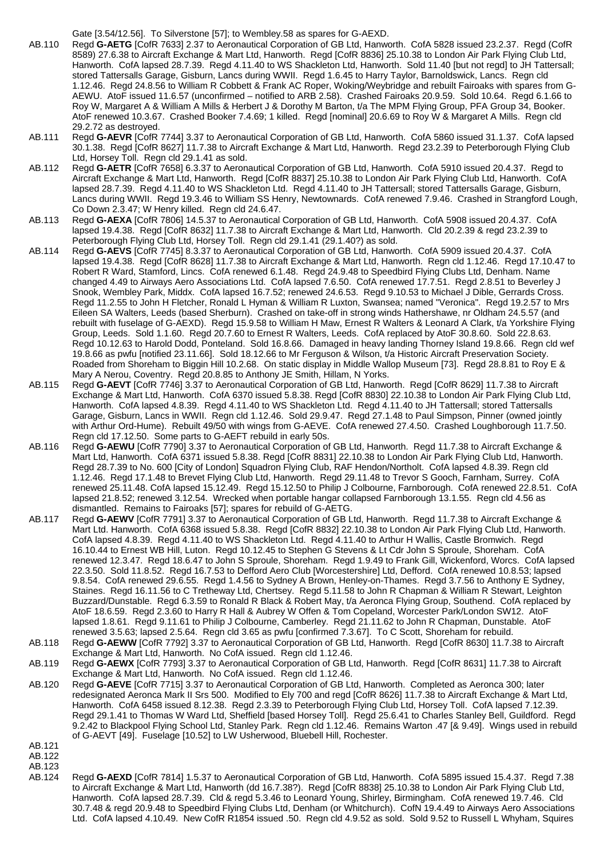Gate [3.54/12.56]. To Silverstone [57]; to Wembley.58 as spares for G-AEXD.

- AB.110 Regd **G-AETG** [CofR 7633] 2.37 to Aeronautical Corporation of GB Ltd, Hanworth. CofA 5828 issued 23.2.37. Regd (CofR 8589) 27.6.38 to Aircraft Exchange & Mart Ltd, Hanworth. Regd [CofR 8836] 25.10.38 to London Air Park Flying Club Ltd, Hanworth. CofA lapsed 28.7.39. Regd 4.11.40 to WS Shackleton Ltd, Hanworth. Sold 11.40 [but not regd] to JH Tattersall; stored Tattersalls Garage, Gisburn, Lancs during WWII. Regd 1.6.45 to Harry Taylor, Barnoldswick, Lancs. Regn cld 1.12.46. Regd 24.8.56 to William R Cobbett & Frank AC Roper, Woking/Weybridge and rebuilt Fairoaks with spares from G-AEWU. AtoF issued 11.6.57 (unconfirmed – notified to ARB 2.58). Crashed Fairoaks 20.9.59. Sold 10.64. Regd 6.1.66 to Roy W, Margaret A & William A Mills & Herbert J & Dorothy M Barton, t/a The MPM Flying Group, PFA Group 34, Booker. AtoF renewed 10.3.67. Crashed Booker 7.4.69; 1 killed. Regd [nominal] 20.6.69 to Roy W & Margaret A Mills. Regn cld 29.2.72 as destroyed.
- AB.111 Regd **G-AEVR** [CofR 7744] 3.37 to Aeronautical Corporation of GB Ltd, Hanworth. CofA 5860 issued 31.1.37. CofA lapsed 30.1.38. Regd [CofR 8627] 11.7.38 to Aircraft Exchange & Mart Ltd, Hanworth. Regd 23.2.39 to Peterborough Flying Club Ltd, Horsey Toll. Regn cld 29.1.41 as sold.
- AB.112 Regd **G-AETR** [CofR 7658] 6.3.37 to Aeronautical Corporation of GB Ltd, Hanworth. CofA 5910 issued 20.4.37. Regd to Aircraft Exchange & Mart Ltd, Hanworth. Regd [CofR 8837] 25.10.38 to London Air Park Flying Club Ltd, Hanworth. CofA lapsed 28.7.39. Regd 4.11.40 to WS Shackleton Ltd. Regd 4.11.40 to JH Tattersall; stored Tattersalls Garage, Gisburn, Lancs during WWII. Regd 19.3.46 to William SS Henry, Newtownards. CofA renewed 7.9.46. Crashed in Strangford Lough, Co Down 2.3.47; W Henry killed. Regn cld 24.6.47.
- AB.113 Regd **G-AEXA** [CofR 7806] 14.5.37 to Aeronautical Corporation of GB Ltd, Hanworth. CofA 5908 issued 20.4.37. CofA lapsed 19.4.38. Regd [CofR 8632] 11.7.38 to Aircraft Exchange & Mart Ltd, Hanworth. Cld 20.2.39 & regd 23.2.39 to Peterborough Flying Club Ltd, Horsey Toll. Regn cld 29.1.41 (29.1.40?) as sold.
- AB.114 Regd **G-AEVS** [CofR 7745] 8.3.37 to Aeronautical Corporation of GB Ltd, Hanworth. CofA 5909 issued 20.4.37. CofA lapsed 19.4.38. Regd [CofR 8628] 11.7.38 to Aircraft Exchange & Mart Ltd, Hanworth. Regn cld 1.12.46. Regd 17.10.47 to Robert R Ward, Stamford, Lincs. CofA renewed 6.1.48. Regd 24.9.48 to Speedbird Flying Clubs Ltd, Denham. Name changed 4.49 to Airways Aero Associations Ltd. CofA lapsed 7.6.50. CofA renewed 17.7.51. Regd 2.8.51 to Beverley J Snook, Wembley Park, Middx. CofA lapsed 16.7.52; renewed 24.6.53. Regd 9.10.53 to Michael J Dible, Gerrards Cross. Regd 11.2.55 to John H Fletcher, Ronald L Hyman & William R Luxton, Swansea; named "Veronica". Regd 19.2.57 to Mrs Eileen SA Walters, Leeds (based Sherburn). Crashed on take-off in strong winds Hathershawe, nr Oldham 24.5.57 (and rebuilt with fuselage of G-AEXD). Regd 15.9.58 to William H Maw, Ernest R Walters & Leonard A Clark, t/a Yorkshire Flying Group, Leeds. Sold 1.1.60. Regd 20.7.60 to Ernest R Walters, Leeds. CofA replaced by AtoF 30.8.60. Sold 22.8.63. Regd 10.12.63 to Harold Dodd, Ponteland. Sold 16.8.66. Damaged in heavy landing Thorney Island 19.8.66. Regn cld wef 19.8.66 as pwfu [notified 23.11.66]. Sold 18.12.66 to Mr Ferguson & Wilson, t/a Historic Aircraft Preservation Society. Roaded from Shoreham to Biggin Hill 10.2.68. On static display in Middle Wallop Museum [73]. Regd 28.8.81 to Roy E & Mary A Nerou, Coventry. Regd 20.8.85 to Anthony JE Smith, Hillam, N Yorks.
- AB.115 Regd **G-AEVT** [CofR 7746] 3.37 to Aeronautical Corporation of GB Ltd, Hanworth. Regd [CofR 8629] 11.7.38 to Aircraft Exchange & Mart Ltd, Hanworth. CofA 6370 issued 5.8.38. Regd [CofR 8830] 22.10.38 to London Air Park Flying Club Ltd, Hanworth. CofA lapsed 4.8.39. Regd 4.11.40 to WS Shackleton Ltd. Regd 4.11.40 to JH Tattersall; stored Tattersalls Garage, Gisburn, Lancs in WWII. Regn cld 1.12.46. Sold 29.9.47. Regd 27.1.48 to Paul Simpson, Pinner (owned jointly with Arthur Ord-Hume). Rebuilt 49/50 with wings from G-AEVE. CofA renewed 27.4.50. Crashed Loughborough 11.7.50. Regn cld 17.12.50. Some parts to G-AEFT rebuild in early 50s.
- AB.116 Regd **G-AEWU** [CofR 7790] 3.37 to Aeronautical Corporation of GB Ltd, Hanworth. Regd 11.7.38 to Aircraft Exchange & Mart Ltd, Hanworth. CofA 6371 issued 5.8.38. Regd [CofR 8831] 22.10.38 to London Air Park Flying Club Ltd, Hanworth. Regd 28.7.39 to No. 600 [City of London] Squadron Flying Club, RAF Hendon/Northolt. CofA lapsed 4.8.39. Regn cld 1.12.46. Regd 17.1.48 to Brevet Flying Club Ltd, Hanworth. Regd 29.11.48 to Trevor S Gooch, Farnham, Surrey. CofA renewed 25.11.48. CofA lapsed 15.12.49. Regd 15.12.50 to Philip J Colbourne, Farnborough. CofA renewed 22.8.51. CofA lapsed 21.8.52; renewed 3.12.54. Wrecked when portable hangar collapsed Farnborough 13.1.55. Regn cld 4.56 as dismantled. Remains to Fairoaks [57]; spares for rebuild of G-AETG.
- AB.117 Regd **G-AEWV** [CofR 7791] 3.37 to Aeronautical Corporation of GB Ltd, Hanworth. Regd 11.7.38 to Aircraft Exchange & Mart Ltd. Hanworth. CofA 6368 issued 5.8.38. Regd [CofR 8832] 22.10.38 to London Air Park Flying Club Ltd, Hanworth. CofA lapsed 4.8.39. Regd 4.11.40 to WS Shackleton Ltd. Regd 4.11.40 to Arthur H Wallis, Castle Bromwich. Regd 16.10.44 to Ernest WB Hill, Luton. Regd 10.12.45 to Stephen G Stevens & Lt Cdr John S Sproule, Shoreham. CofA renewed 12.3.47. Regd 18.6.47 to John S Sproule, Shoreham. Regd 1.9.49 to Frank Gill, Wickenford, Worcs. CofA lapsed 22.3.50. Sold 11.8.52. Regd 16.7.53 to Defford Aero Club [Worcestershire] Ltd, Defford. CofA renewed 10.8.53; lapsed 9.8.54. CofA renewed 29.6.55. Regd 1.4.56 to Sydney A Brown, Henley-on-Thames. Regd 3.7.56 to Anthony E Sydney, Staines. Regd 16.11.56 to C Tretheway Ltd, Chertsey. Regd 5.11.58 to John R Chapman & William R Stewart, Leighton Buzzard/Dunstable. Regd 6.3.59 to Ronald R Black & Robert May, t/a Aeronca Flying Group, Southend. CofA replaced by AtoF 18.6.59. Regd 2.3.60 to Harry R Hall & Aubrey W Offen & Tom Copeland, Worcester Park/London SW12. AtoF lapsed 1.8.61. Regd 9.11.61 to Philip J Colbourne, Camberley. Regd 21.11.62 to John R Chapman, Dunstable. AtoF renewed 3.5.63; lapsed 2.5.64. Regn cld 3.65 as pwfu [confirmed 7.3.67]. To C Scott, Shoreham for rebuild.
- AB.118 Regd **G-AEWW** [CofR 7792] 3.37 to Aeronautical Corporation of GB Ltd, Hanworth. Regd [CofR 8630] 11.7.38 to Aircraft Exchange & Mart Ltd, Hanworth. No CofA issued. Regn cld 1.12.46.
- AB.119 Regd **G-AEWX** [CofR 7793] 3.37 to Aeronautical Corporation of GB Ltd, Hanworth. Regd [CofR 8631] 11.7.38 to Aircraft Exchange & Mart Ltd, Hanworth. No CofA issued. Regn cld 1.12.46.
- AB.120 Regd **G-AEVE** [CofR 7715] 3.37 to Aeronautical Corporation of GB Ltd, Hanworth. Completed as Aeronca 300; later redesignated Aeronca Mark II Srs 500. Modified to Ely 700 and regd [CofR 8626] 11.7.38 to Aircraft Exchange & Mart Ltd, Hanworth. CofA 6458 issued 8.12.38. Regd 2.3.39 to Peterborough Flying Club Ltd, Horsey Toll. CofA lapsed 7.12.39. Regd 29.1.41 to Thomas W Ward Ltd, Sheffield [based Horsey Toll]. Regd 25.6.41 to Charles Stanley Bell, Guildford. Regd 9.2.42 to Blackpool Flying School Ltd, Stanley Park. Regn cld 1.12.46. Remains Warton .47 [& 9.49]. Wings used in rebuild of G-AEVT [49]. Fuselage [10.52] to LW Usherwood, Bluebell Hill, Rochester.
- AB.121
- AB.122
- AB.123
- AB.124 Regd **G-AEXD** [CofR 7814] 1.5.37 to Aeronautical Corporation of GB Ltd, Hanworth. CofA 5895 issued 15.4.37. Regd 7.38 to Aircraft Exchange & Mart Ltd, Hanworth (dd 16.7.38?). Regd [CofR 8838] 25.10.38 to London Air Park Flying Club Ltd, Hanworth. CofA lapsed 28.7.39. Cld & regd 5.3.46 to Leonard Young, Shirley, Birmingham. CofA renewed 19.7.46. Cld 30.7.48 & regd 20.9.48 to Speedbird Flying Clubs Ltd, Denham (or Whitchurch). CofN 19.4.49 to Airways Aero Associations Ltd. CofA lapsed 4.10.49. New CofR R1854 issued .50. Regn cld 4.9.52 as sold. Sold 9.52 to Russell L Whyham, Squires